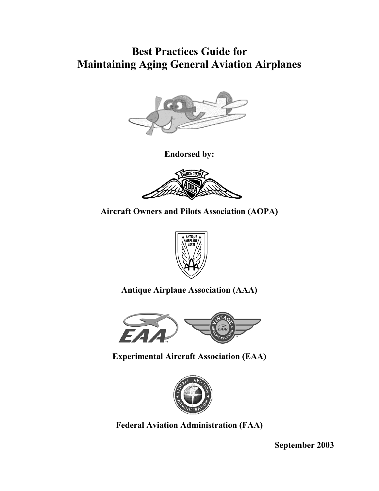# **Best Practices Guide for Maintaining Aging General Aviation Airplanes**



**Endorsed by:** 



**Aircraft Owners and Pilots Association (AOPA)** 



**Antique Airplane Association (AAA)** 



**Experimental Aircraft Association (EAA)** 



**Federal Aviation Administration (FAA)** 

**September 2003**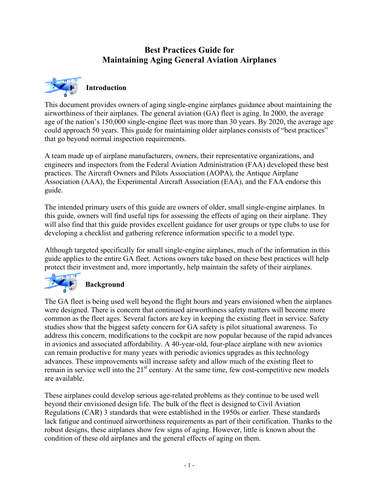### **Best Practices Guide for Maintaining Aging General Aviation Airplanes**



This document provides owners of aging single-engine airplanes guidance about maintaining the airworthiness of their airplanes. The general aviation (GA) fleet is aging. In 2000, the average age of the nation's 150,000 single-engine fleet was more than 30 years. By 2020, the average age could approach 50 years. This guide for maintaining older airplanes consists of "best practices" that go beyond normal inspection requirements.

A team made up of airplane manufacturers, owners, their representative organizations, and engineers and inspectors from the Federal Aviation Administration (FAA) developed these best practices. The Aircraft Owners and Pilots Association (AOPA), the Antique Airplane Association (AAA), the Experimental Aircraft Association (EAA), and the FAA endorse this guide.

The intended primary users of this guide are owners of older, small single-engine airplanes. In this guide, owners will find useful tips for assessing the effects of aging on their airplane. They will also find that this guide provides excellent guidance for user groups or type clubs to use for developing a checklist and gathering reference information specific to a model type.

Although targeted specifically for small single-engine airplanes, much of the information in this guide applies to the entire GA fleet. Actions owners take based on these best practices will help protect their investment and, more importantly, help maintain the safety of their airplanes.



### **Background**

The GA fleet is being used well beyond the flight hours and years envisioned when the airplanes were designed. There is concern that continued airworthiness safety matters will become more common as the fleet ages. Several factors are key in keeping the existing fleet in service. Safety studies show that the biggest safety concern for GA safety is pilot situational awareness. To address this concern, modifications to the cockpit are now popular because of the rapid advances in avionics and associated affordability. A 40-year-old, four-place airplane with new avionics can remain productive for many years with periodic avionics upgrades as this technology advances. These improvements will increase safety and allow much of the existing fleet to remain in service well into the 21<sup>st</sup> century. At the same time, few cost-competitive new models are available.

These airplanes could develop serious age-related problems as they continue to be used well beyond their envisioned design life. The bulk of the fleet is designed to Civil Aviation Regulations (CAR) 3 standards that were established in the 1950s or earlier. These standards lack fatigue and continued airworthiness requirements as part of their certification. Thanks to the robust designs, these airplanes show few signs of aging. However, little is known about the condition of these old airplanes and the general effects of aging on them.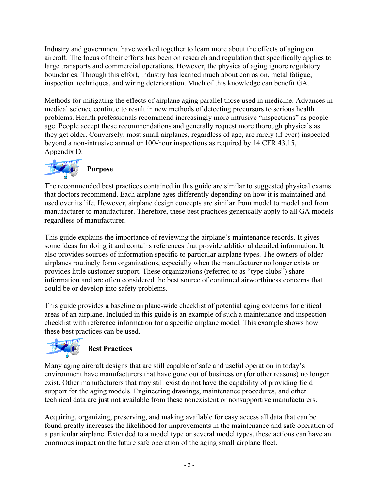Industry and government have worked together to learn more about the effects of aging on aircraft. The focus of their efforts has been on research and regulation that specifically applies to large transports and commercial operations. However, the physics of aging ignore regulatory boundaries. Through this effort, industry has learned much about corrosion, metal fatigue, inspection techniques, and wiring deterioration. Much of this knowledge can benefit GA.

Methods for mitigating the effects of airplane aging parallel those used in medicine. Advances in medical science continue to result in new methods of detecting precursors to serious health problems. Health professionals recommend increasingly more intrusive "inspections" as people age. People accept these recommendations and generally request more thorough physicals as they get older. Conversely, most small airplanes, regardless of age, are rarely (if ever) inspected beyond a non-intrusive annual or 100-hour inspections as required by 14 CFR 43.15, Appendix D.



**Purpose** 

The recommended best practices contained in this guide are similar to suggested physical exams that doctors recommend. Each airplane ages differently depending on how it is maintained and used over its life. However, airplane design concepts are similar from model to model and from manufacturer to manufacturer. Therefore, these best practices generically apply to all GA models regardless of manufacturer.

This guide explains the importance of reviewing the airplane's maintenance records. It gives some ideas for doing it and contains references that provide additional detailed information. It also provides sources of information specific to particular airplane types. The owners of older airplanes routinely form organizations, especially when the manufacturer no longer exists or provides little customer support. These organizations (referred to as "type clubs") share information and are often considered the best source of continued airworthiness concerns that could be or develop into safety problems.

This guide provides a baseline airplane-wide checklist of potential aging concerns for critical areas of an airplane. Included in this guide is an example of such a maintenance and inspection checklist with reference information for a specific airplane model. This example shows how these best practices can be used.



### **Best Practices**

Many aging aircraft designs that are still capable of safe and useful operation in today's environment have manufacturers that have gone out of business or (for other reasons) no longer exist. Other manufacturers that may still exist do not have the capability of providing field support for the aging models. Engineering drawings, maintenance procedures, and other technical data are just not available from these nonexistent or nonsupportive manufacturers.

Acquiring, organizing, preserving, and making available for easy access all data that can be found greatly increases the likelihood for improvements in the maintenance and safe operation of a particular airplane. Extended to a model type or several model types, these actions can have an enormous impact on the future safe operation of the aging small airplane fleet.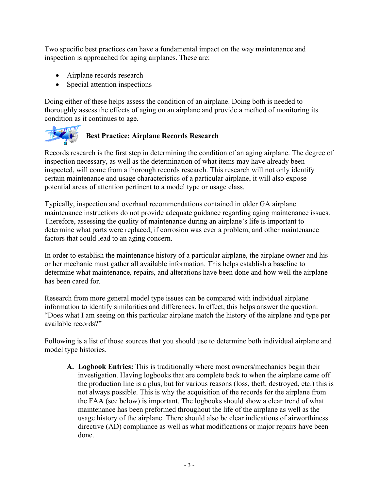Two specific best practices can have a fundamental impact on the way maintenance and inspection is approached for aging airplanes. These are:

- Airplane records research
- Special attention inspections

Doing either of these helps assess the condition of an airplane. Doing both is needed to thoroughly assess the effects of aging on an airplane and provide a method of monitoring its condition as it continues to age.



### **Best Practice: Airplane Records Research**

Records research is the first step in determining the condition of an aging airplane. The degree of inspection necessary, as well as the determination of what items may have already been inspected, will come from a thorough records research. This research will not only identify certain maintenance and usage characteristics of a particular airplane, it will also expose potential areas of attention pertinent to a model type or usage class.

Typically, inspection and overhaul recommendations contained in older GA airplane maintenance instructions do not provide adequate guidance regarding aging maintenance issues. Therefore, assessing the quality of maintenance during an airplane's life is important to determine what parts were replaced, if corrosion was ever a problem, and other maintenance factors that could lead to an aging concern.

In order to establish the maintenance history of a particular airplane, the airplane owner and his or her mechanic must gather all available information. This helps establish a baseline to determine what maintenance, repairs, and alterations have been done and how well the airplane has been cared for.

Research from more general model type issues can be compared with individual airplane information to identify similarities and differences. In effect, this helps answer the question: "Does what I am seeing on this particular airplane match the history of the airplane and type per available records?"

Following is a list of those sources that you should use to determine both individual airplane and model type histories.

**A. Logbook Entries:** This is traditionally where most owners/mechanics begin their investigation. Having logbooks that are complete back to when the airplane came off the production line is a plus, but for various reasons (loss, theft, destroyed, etc.) this is not always possible. This is why the acquisition of the records for the airplane from the FAA (see below) is important. The logbooks should show a clear trend of what maintenance has been preformed throughout the life of the airplane as well as the usage history of the airplane. There should also be clear indications of airworthiness directive (AD) compliance as well as what modifications or major repairs have been done.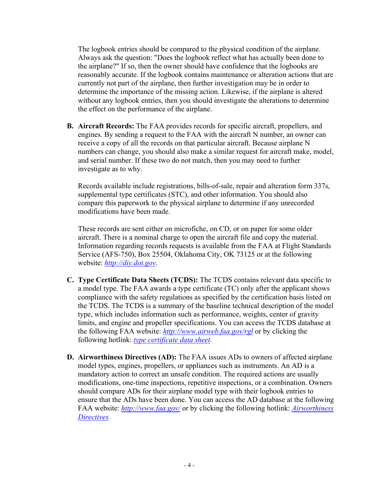The logbook entries should be compared to the physical condition of the airplane. Always ask the question: "Does the logbook reflect what has actually been done to the airplane?" If so, then the owner should have confidence that the logbooks are reasonably accurate. If the logbook contains maintenance or alteration actions that are currently not part of the airplane, then further investigation may be in order to determine the importance of the missing action. Likewise, if the airplane is altered without any logbook entries, then you should investigate the alterations to determine the effect on the performance of the airplane.

**B. Aircraft Records:** The FAA provides records for specific aircraft, propellers, and engines. By sending a request to the FAA with the aircraft N number, an owner can receive a copy of all the records on that particular aircraft. Because airplane N numbers can change, you should also make a similar request for aircraft make, model, and serial number. If these two do not match, then you may need to further investigate as to why.

Records available include registrations, bills-of-sale, repair and alteration form 337s, supplemental type certificates (STC), and other information. You should also compare this paperwork to the physical airplane to determine if any unrecorded modifications have been made.

These records are sent either on microfiche, on CD, or on paper for some older aircraft. There is a nominal charge to open the aircraft file and copy the material. Information regarding records requests is available from the FAA at Flight Standards Service (AFS-750), Box 25504, Oklahoma City, OK 73125 or at the following website: *http://diy.dot.gov*.

- **C. Type Certificate Data Sheets (TCDS):** The TCDS contains relevant data specific to a model type. The FAA awards a type certificate (TC) only after the applicant shows compliance with the safety regulations as specified by the certification basis listed on the TCDS. The TCDS is a summary of the baseline technical description of the model type, which includes information such as performance, weights, center of gravity limits, and engine and propeller specifications. You can access the TCDS database at the following FAA website: *http://www.airweb.faa.gov/rgl* or by clicking the following hotlink: *type certificate data sheet.*
- **D. Airworthiness Directives (AD):** The FAA issues ADs to owners of affected airplane model types, engines, propellers, or appliances such as instruments. An AD is a mandatory action to correct an unsafe condition. The required actions are usually modifications, one-time inspections, repetitive inspections, or a combination. Owners should compare ADs for their airplane model type with their logbook entries to ensure that the ADs have been done. You can access the AD database at the following FAA website: *http://www.faa.gov/* or by clicking the following hotlink: *Airworthiness Directives.*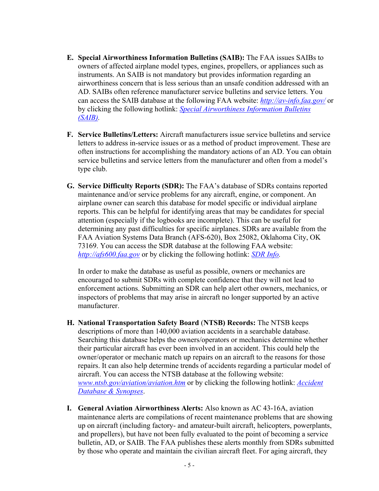- **E. Special Airworthiness Information Bulletins (SAIB):** The FAA issues SAIBs to owners of affected airplane model types, engines, propellers, or appliances such as instruments. An SAIB is not mandatory but provides information regarding an airworthiness concern that is less serious than an unsafe condition addressed with an AD. SAIBs often reference manufacturer service bulletins and service letters. You can access the SAIB database at the following FAA website: *http://av-info.faa.gov/* or by clicking the following hotlink: *Special Airworthiness Information Bulletins (SAIB).*
- **F. Service Bulletins/Letters:** Aircraft manufacturers issue service bulletins and service letters to address in-service issues or as a method of product improvement. These are often instructions for accomplishing the mandatory actions of an AD. You can obtain service bulletins and service letters from the manufacturer and often from a model's type club.
- **G. Service Difficulty Reports (SDR):** The FAA's database of SDRs contains reported maintenance and/or service problems for any aircraft, engine, or component. An airplane owner can search this database for model specific or individual airplane reports. This can be helpful for identifying areas that may be candidates for special attention (especially if the logbooks are incomplete). This can be useful for determining any past difficulties for specific airplanes. SDRs are available from the FAA Aviation Systems Data Branch (AFS-620), Box 25082, Oklahoma City, OK 73169. You can access the SDR database at the following FAA website: *http://afs600.faa.gov* or by clicking the following hotlink: *SDR Info.*

In order to make the database as useful as possible, owners or mechanics are encouraged to submit SDRs with complete confidence that they will not lead to enforcement actions. Submitting an SDR can help alert other owners, mechanics, or inspectors of problems that may arise in aircraft no longer supported by an active manufacturer.

- **H. National Transportation Safety Board** (**NTSB) Records:** The NTSB keeps descriptions of more than 140,000 aviation accidents in a searchable database. Searching this database helps the owners/operators or mechanics determine whether their particular aircraft has ever been involved in an accident. This could help the owner/operator or mechanic match up repairs on an aircraft to the reasons for those repairs. It can also help determine trends of accidents regarding a particular model of aircraft. You can access the NTSB database at the following website: *www.ntsb.gov/aviation/aviation.htm* or by clicking the following hotlink: *Accident Database & Synopses*.
- **I. General Aviation Airworthiness Alerts:** Also known as AC 43-16A, aviation maintenance alerts are compilations of recent maintenance problems that are showing up on aircraft (including factory- and amateur-built aircraft, helicopters, powerplants, and propellers), but have not been fully evaluated to the point of becoming a service bulletin, AD, or SAIB. The FAA publishes these alerts monthly from SDRs submitted by those who operate and maintain the civilian aircraft fleet. For aging aircraft, they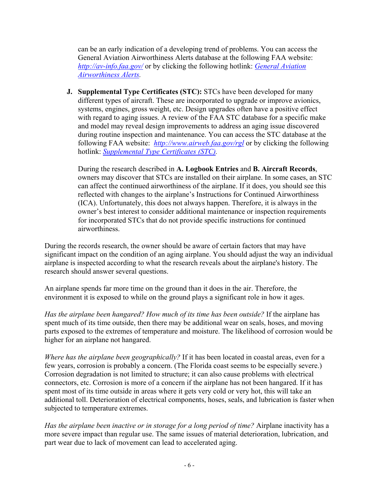can be an early indication of a developing trend of problems. You can access the General Aviation Airworthiness Alerts database at the following FAA website: *http://av-info.faa.gov/* or by clicking the following hotlink: *General Aviation Airworthiness Alerts.*

**J. Supplemental Type Certificates (STC):** STCs have been developed for many different types of aircraft. These are incorporated to upgrade or improve avionics, systems, engines, gross weight, etc. Design upgrades often have a positive effect with regard to aging issues. A review of the FAA STC database for a specific make and model may reveal design improvements to address an aging issue discovered during routine inspection and maintenance. You can access the STC database at the following FAA website: *http://www.airweb.faa.gov/rgl* or by clicking the following hotlink: *Supplemental Type Certificates (STC).*

During the research described in **A. Logbook Entries** and **B. Aircraft Records**, owners may discover that STCs are installed on their airplane. In some cases, an STC can affect the continued airworthiness of the airplane. If it does, you should see this reflected with changes to the airplane's Instructions for Continued Airworthiness (ICA). Unfortunately, this does not always happen. Therefore, it is always in the owner's best interest to consider additional maintenance or inspection requirements for incorporated STCs that do not provide specific instructions for continued airworthiness.

During the records research, the owner should be aware of certain factors that may have significant impact on the condition of an aging airplane. You should adjust the way an individual airplane is inspected according to what the research reveals about the airplane's history. The research should answer several questions.

An airplane spends far more time on the ground than it does in the air. Therefore, the environment it is exposed to while on the ground plays a significant role in how it ages.

*Has the airplane been hangared? How much of its time has been outside?* If the airplane has spent much of its time outside, then there may be additional wear on seals, hoses, and moving parts exposed to the extremes of temperature and moisture. The likelihood of corrosion would be higher for an airplane not hangared.

*Where has the airplane been geographically?* If it has been located in coastal areas, even for a few years, corrosion is probably a concern. (The Florida coast seems to be especially severe.) Corrosion degradation is not limited to structure; it can also cause problems with electrical connectors, etc. Corrosion is more of a concern if the airplane has not been hangared. If it has spent most of its time outside in areas where it gets very cold or very hot, this will take an additional toll. Deterioration of electrical components, hoses, seals, and lubrication is faster when subjected to temperature extremes.

*Has the airplane been inactive or in storage for a long period of time?* Airplane inactivity has a more severe impact than regular use. The same issues of material deterioration, lubrication, and part wear due to lack of movement can lead to accelerated aging.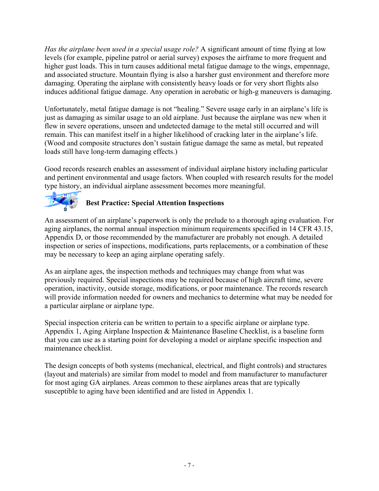*Has the airplane been used in a special usage role?* A significant amount of time flying at low levels (for example, pipeline patrol or aerial survey) exposes the airframe to more frequent and higher gust loads. This in turn causes additional metal fatigue damage to the wings, empennage, and associated structure. Mountain flying is also a harsher gust environment and therefore more damaging. Operating the airplane with consistently heavy loads or for very short flights also induces additional fatigue damage. Any operation in aerobatic or high-g maneuvers is damaging.

Unfortunately, metal fatigue damage is not "healing." Severe usage early in an airplane's life is just as damaging as similar usage to an old airplane. Just because the airplane was new when it flew in severe operations, unseen and undetected damage to the metal still occurred and will remain. This can manifest itself in a higher likelihood of cracking later in the airplane's life. (Wood and composite structures don't sustain fatigue damage the same as metal, but repeated loads still have long-term damaging effects.)

Good records research enables an assessment of individual airplane history including particular and pertinent environmental and usage factors. When coupled with research results for the model type history, an individual airplane assessment becomes more meaningful.



### **Best Practice: Special Attention Inspections**

An assessment of an airplane's paperwork is only the prelude to a thorough aging evaluation. For aging airplanes, the normal annual inspection minimum requirements specified in 14 CFR 43.15, Appendix D, or those recommended by the manufacturer are probably not enough. A detailed inspection or series of inspections, modifications, parts replacements, or a combination of these may be necessary to keep an aging airplane operating safely.

As an airplane ages, the inspection methods and techniques may change from what was previously required. Special inspections may be required because of high aircraft time, severe operation, inactivity, outside storage, modifications, or poor maintenance. The records research will provide information needed for owners and mechanics to determine what may be needed for a particular airplane or airplane type.

Special inspection criteria can be written to pertain to a specific airplane or airplane type. Appendix 1, Aging Airplane Inspection & Maintenance Baseline Checklist, is a baseline form that you can use as a starting point for developing a model or airplane specific inspection and maintenance checklist.

The design concepts of both systems (mechanical, electrical, and flight controls) and structures (layout and materials) are similar from model to model and from manufacturer to manufacturer for most aging GA airplanes. Areas common to these airplanes areas that are typically susceptible to aging have been identified and are listed in Appendix 1.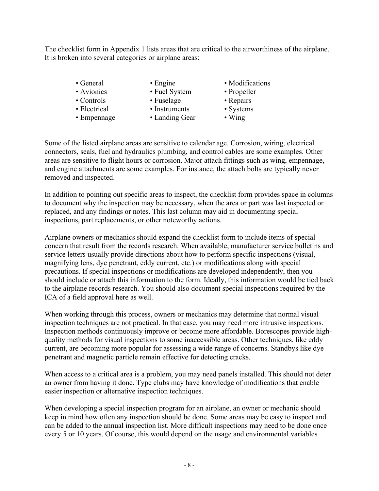The checklist form in Appendix 1 lists areas that are critical to the airworthiness of the airplane. It is broken into several categories or airplane areas:

- 
- 
- 
- 
- 
- Avionics Fuel System Propeller
	-
- Controls Fuselage Repairs
- Electrical Instruments Systems
- 
- Empennage Landing Gear Wing
- General Engine Modifications
	-
	-
	-
	-

Some of the listed airplane areas are sensitive to calendar age. Corrosion, wiring, electrical connectors, seals, fuel and hydraulics plumbing, and control cables are some examples. Other areas are sensitive to flight hours or corrosion. Major attach fittings such as wing, empennage, and engine attachments are some examples. For instance, the attach bolts are typically never removed and inspected.

In addition to pointing out specific areas to inspect, the checklist form provides space in columns to document why the inspection may be necessary, when the area or part was last inspected or replaced, and any findings or notes. This last column may aid in documenting special inspections, part replacements, or other noteworthy actions.

Airplane owners or mechanics should expand the checklist form to include items of special concern that result from the records research. When available, manufacturer service bulletins and service letters usually provide directions about how to perform specific inspections (visual, magnifying lens, dye penetrant, eddy current, etc.) or modifications along with special precautions. If special inspections or modifications are developed independently, then you should include or attach this information to the form. Ideally, this information would be tied back to the airplane records research. You should also document special inspections required by the ICA of a field approval here as well.

When working through this process, owners or mechanics may determine that normal visual inspection techniques are not practical. In that case, you may need more intrusive inspections. Inspection methods continuously improve or become more affordable. Borescopes provide highquality methods for visual inspections to some inaccessible areas. Other techniques, like eddy current, are becoming more popular for assessing a wide range of concerns. Standbys like dye penetrant and magnetic particle remain effective for detecting cracks.

When access to a critical area is a problem, you may need panels installed. This should not deter an owner from having it done. Type clubs may have knowledge of modifications that enable easier inspection or alternative inspection techniques.

When developing a special inspection program for an airplane, an owner or mechanic should keep in mind how often any inspection should be done. Some areas may be easy to inspect and can be added to the annual inspection list. More difficult inspections may need to be done once every 5 or 10 years. Of course, this would depend on the usage and environmental variables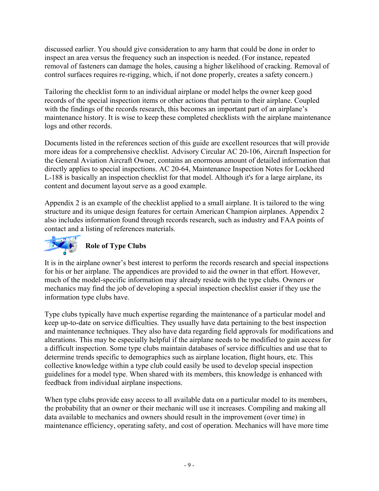discussed earlier. You should give consideration to any harm that could be done in order to inspect an area versus the frequency such an inspection is needed. (For instance, repeated removal of fasteners can damage the holes, causing a higher likelihood of cracking. Removal of control surfaces requires re-rigging, which, if not done properly, creates a safety concern.)

Tailoring the checklist form to an individual airplane or model helps the owner keep good records of the special inspection items or other actions that pertain to their airplane. Coupled with the findings of the records research, this becomes an important part of an airplane's maintenance history. It is wise to keep these completed checklists with the airplane maintenance logs and other records.

Documents listed in the references section of this guide are excellent resources that will provide more ideas for a comprehensive checklist. Advisory Circular AC 20-106, Aircraft Inspection for the General Aviation Aircraft Owner, contains an enormous amount of detailed information that directly applies to special inspections. AC 20-64, Maintenance Inspection Notes for Lockheed L-188 is basically an inspection checklist for that model. Although it's for a large airplane, its content and document layout serve as a good example.

Appendix 2 is an example of the checklist applied to a small airplane. It is tailored to the wing structure and its unique design features for certain American Champion airplanes. Appendix 2 also includes information found through records research, such as industry and FAA points of contact and a listing of references materials.



### **Role of Type Clubs**

It is in the airplane owner's best interest to perform the records research and special inspections for his or her airplane. The appendices are provided to aid the owner in that effort. However, much of the model-specific information may already reside with the type clubs. Owners or mechanics may find the job of developing a special inspection checklist easier if they use the information type clubs have.

Type clubs typically have much expertise regarding the maintenance of a particular model and keep up-to-date on service difficulties. They usually have data pertaining to the best inspection and maintenance techniques. They also have data regarding field approvals for modifications and alterations. This may be especially helpful if the airplane needs to be modified to gain access for a difficult inspection. Some type clubs maintain databases of service difficulties and use that to determine trends specific to demographics such as airplane location, flight hours, etc. This collective knowledge within a type club could easily be used to develop special inspection guidelines for a model type. When shared with its members, this knowledge is enhanced with feedback from individual airplane inspections.

When type clubs provide easy access to all available data on a particular model to its members, the probability that an owner or their mechanic will use it increases. Compiling and making all data available to mechanics and owners should result in the improvement (over time) in maintenance efficiency, operating safety, and cost of operation. Mechanics will have more time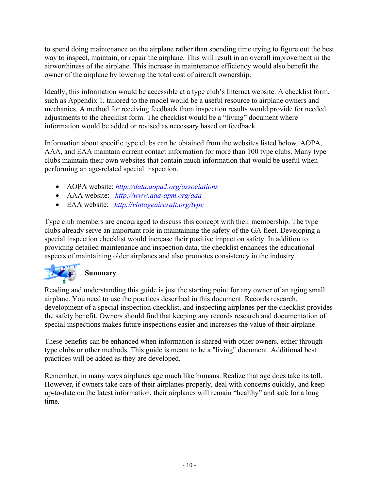to spend doing maintenance on the airplane rather than spending time trying to figure out the best way to inspect, maintain, or repair the airplane. This will result in an overall improvement in the airworthiness of the airplane. This increase in maintenance efficiency would also benefit the owner of the airplane by lowering the total cost of aircraft ownership.

Ideally, this information would be accessible at a type club's Internet website. A checklist form, such as Appendix 1, tailored to the model would be a useful resource to airplane owners and mechanics. A method for receiving feedback from inspection results would provide for needed adjustments to the checklist form. The checklist would be a "living" document where information would be added or revised as necessary based on feedback.

Information about specific type clubs can be obtained from the websites listed below. AOPA, AAA, and EAA maintain current contact information for more than 100 type clubs. Many type clubs maintain their own websites that contain much information that would be useful when performing an age-related special inspection.

- AOPA website: *http://data.aopa2.org/associations*
- AAA website: *http://www.aaa-apm.org/aaa*
- EAA website: *http://vintageaircraft.org/type*

Type club members are encouraged to discuss this concept with their membership. The type clubs already serve an important role in maintaining the safety of the GA fleet. Developing a special inspection checklist would increase their positive impact on safety. In addition to providing detailed maintenance and inspection data, the checklist enhances the educational aspects of maintaining older airplanes and also promotes consistency in the industry.



# **Summary**

Reading and understanding this guide is just the starting point for any owner of an aging small airplane. You need to use the practices described in this document. Records research, development of a special inspection checklist, and inspecting airplanes per the checklist provides the safety benefit. Owners should find that keeping any records research and documentation of special inspections makes future inspections easier and increases the value of their airplane.

These benefits can be enhanced when information is shared with other owners, either through type clubs or other methods. This guide is meant to be a "living" document. Additional best practices will be added as they are developed.

Remember, in many ways airplanes age much like humans. Realize that age does take its toll. However, if owners take care of their airplanes properly, deal with concerns quickly, and keep up-to-date on the latest information, their airplanes will remain "healthy" and safe for a long time.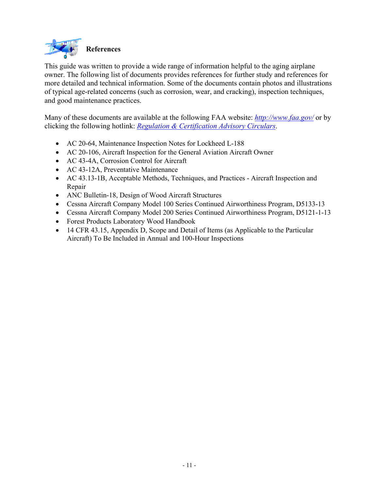

This guide was written to provide a wide range of information helpful to the aging airplane owner. The following list of documents provides references for further study and references for more detailed and technical information. Some of the documents contain photos and illustrations of typical age-related concerns (such as corrosion, wear, and cracking), inspection techniques, and good maintenance practices.

Many of these documents are available at the following FAA website: *http://www.faa.gov/* or by clicking the following hotlink: *Regulation & Certification Advisory Circulars*.

- AC 20-64, Maintenance Inspection Notes for Lockheed L-188
- AC 20-106, Aircraft Inspection for the General Aviation Aircraft Owner
- AC 43-4A, Corrosion Control for Aircraft
- AC 43-12A, Preventative Maintenance
- AC 43.13-1B, Acceptable Methods, Techniques, and Practices Aircraft Inspection and Repair
- ANC Bulletin-18, Design of Wood Aircraft Structures
- Cessna Aircraft Company Model 100 Series Continued Airworthiness Program, D5133-13
- Cessna Aircraft Company Model 200 Series Continued Airworthiness Program, D5121-1-13
- Forest Products Laboratory Wood Handbook
- 14 CFR 43.15, Appendix D, Scope and Detail of Items (as Applicable to the Particular Aircraft) To Be Included in Annual and 100-Hour Inspections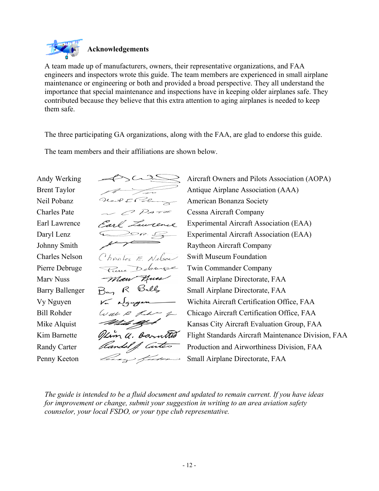

A team made up of manufacturers, owners, their representative organizations, and FAA engineers and inspectors wrote this guide. The team members are experienced in small airplane maintenance or engineering or both and provided a broad perspective. They all understand the importance that special maintenance and inspections have in keeping older airplanes safe. They contributed because they believe that this extra attention to aging airplanes is needed to keep them safe.

The three participating GA organizations, along with the FAA, are glad to endorse this guide.

The team members and their affiliations are shown below.

Neil Pobanz Quest Collection American Bonanza Society Charles Pate  $\sim$   $\approx$  Pate Cessna Aircraft Company Johnny Smith Raytheon Aircraft Company Charles Nelson  $Ch$ pp les  $\mathcal{F}$   $\mathcal{N}$ elson Swift Museum Foundation Pierre Debruge Ceme Debruge Twin Commander Company Marv Nuss *Man Afund* Small Airplane Directorate, FAA Barry Ballenger  $B_{\infty}$ ,  $\mathcal{R}$   $\mathcal{B}_{\infty}$  Small Airplane Directorate, FAA

Andy Werking All Aircraft Owners and Pilots Association (AOPA) Brent Taylor Antique Airplane Association (AAA) Earl Lawrence Earl Zawrence Experimental Aircraft Association (EAA) Daryl Lenz Company Experimental Aircraft Association (EAA) Vy Nguyen  $\sqrt{q}$   $\sqrt{q}$   $\sqrt{q}$  Wichita Aircraft Certification Office, FAA Bill Rohder  $C_{\ell}$  Chicago Aircraft Certification Office, FAA Mike Alquist **Kansas City Aircraft Evaluation Group**, FAA Kim Barnette  $\mathscr{A}$  for  $\mathscr{A}$ , because  $\mathscr{A}$  Flight Standards Aircraft Maintenance Division, FAA Randy Carter *Candal J. Carter* Production and Airworthiness Division, FAA Penny Keeton Small Airplane Directorate, FAA

*The guide is intended to be a fluid document and updated to remain current. If you have ideas for improvement or change, submit your suggestion in writing to an area aviation safety counselor, your local FSDO, or your type club representative.*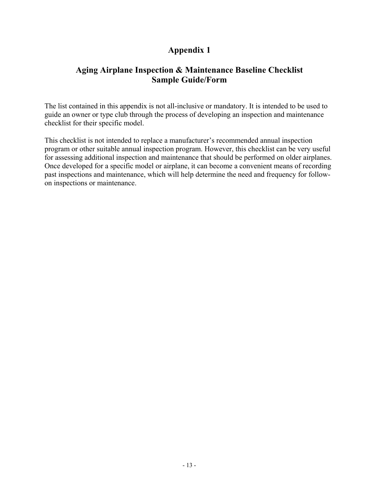### **Appendix 1**

### **Aging Airplane Inspection & Maintenance Baseline Checklist Sample Guide/Form**

The list contained in this appendix is not all-inclusive or mandatory. It is intended to be used to guide an owner or type club through the process of developing an inspection and maintenance checklist for their specific model.

This checklist is not intended to replace a manufacturer's recommended annual inspection program or other suitable annual inspection program. However, this checklist can be very useful for assessing additional inspection and maintenance that should be performed on older airplanes. Once developed for a specific model or airplane, it can become a convenient means of recording past inspections and maintenance, which will help determine the need and frequency for followon inspections or maintenance.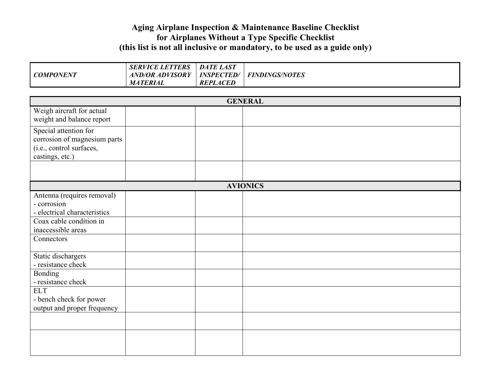### **Aging Airplane Inspection & Maintenance Baseline Checklist for Airplanes Without a Type Specific Checklist (this list is not all inclusive or mandatory, to be used as a guide only)**

| <i><b>COMPONENT</b></i> | <b>SERVICE LETTERS</b><br><b>ADVISORY</b><br>AND/OR | <b>DATE LAST</b><br><b>INSPECTED/</b> | <b>FINDINGS/NOTES</b> |
|-------------------------|-----------------------------------------------------|---------------------------------------|-----------------------|
|                         | <b>MATERIAL</b>                                     | <b>REPLACED</b>                       |                       |

|                                                                                                      |  | <b>GENERAL</b>  |
|------------------------------------------------------------------------------------------------------|--|-----------------|
| Weigh aircraft for actual<br>weight and balance report                                               |  |                 |
| Special attention for<br>corrosion of magnesium parts<br>(i.e., control surfaces,<br>castings, etc.) |  |                 |
|                                                                                                      |  |                 |
|                                                                                                      |  | <b>AVIONICS</b> |
| Antenna (requires removal)<br>- corrosion<br>- electrical characteristics                            |  |                 |
| Coax cable condition in<br>inaccessible areas                                                        |  |                 |
| Connectors                                                                                           |  |                 |
| Static dischargers<br>- resistance check                                                             |  |                 |
| Bonding<br>- resistance check                                                                        |  |                 |
| <b>ELT</b><br>- bench check for power<br>output and proper frequency                                 |  |                 |
|                                                                                                      |  |                 |
|                                                                                                      |  |                 |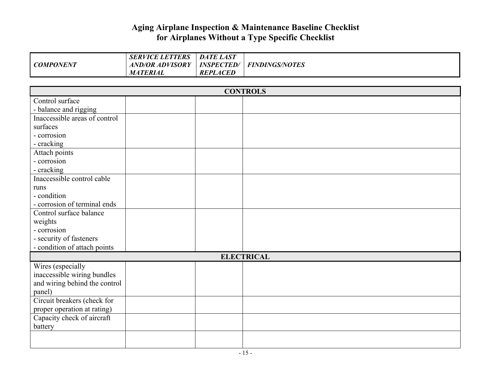| <b>COMPONENT</b> | <b>SERVICE LETTERS</b><br><b>AND/OR ADVISORY</b><br><i><b>MATERIAL</b></i> | <b>LAST</b><br><b>DATE</b><br><b>INSPECTED/</b><br><b>REPLACED</b> | <b>FINDINGS/NOTES</b> |
|------------------|----------------------------------------------------------------------------|--------------------------------------------------------------------|-----------------------|
|------------------|----------------------------------------------------------------------------|--------------------------------------------------------------------|-----------------------|

|                               | <b>CONTROLS</b>   |
|-------------------------------|-------------------|
| Control surface               |                   |
| - balance and rigging         |                   |
| Inaccessible areas of control |                   |
| surfaces                      |                   |
| - corrosion                   |                   |
| - cracking                    |                   |
| Attach points                 |                   |
| - corrosion                   |                   |
| - cracking                    |                   |
| Inaccessible control cable    |                   |
| runs                          |                   |
| - condition                   |                   |
| - corrosion of terminal ends  |                   |
| Control surface balance       |                   |
| weights                       |                   |
| - corrosion                   |                   |
| - security of fasteners       |                   |
| - condition of attach points  |                   |
|                               | <b>ELECTRICAL</b> |
| Wires (especially             |                   |
| inaccessible wiring bundles   |                   |
| and wiring behind the control |                   |
| panel)                        |                   |
| Circuit breakers (check for   |                   |
| proper operation at rating)   |                   |
| Capacity check of aircraft    |                   |
| battery                       |                   |
|                               |                   |
|                               |                   |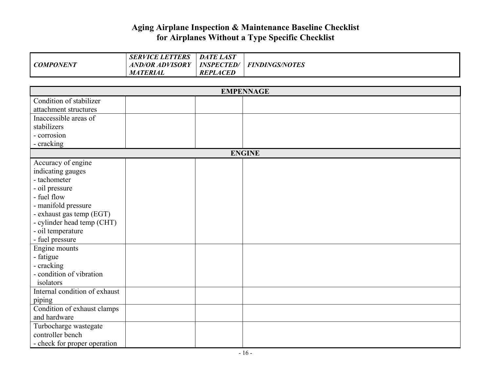| <b>COMPONENT</b>              | <b>SERVICE LETTERS</b><br><b>AND/OR ADVISORY</b> | <b>DATE LAST</b><br><b>INSPECTED/</b> | <b>FINDINGS/NOTES</b> |
|-------------------------------|--------------------------------------------------|---------------------------------------|-----------------------|
|                               | <b>MATERIAL</b>                                  | <b>REPLACED</b>                       |                       |
|                               |                                                  |                                       |                       |
|                               |                                                  |                                       | <b>EMPENNAGE</b>      |
| Condition of stabilizer       |                                                  |                                       |                       |
| attachment structures         |                                                  |                                       |                       |
| Inaccessible areas of         |                                                  |                                       |                       |
| stabilizers                   |                                                  |                                       |                       |
| - corrosion                   |                                                  |                                       |                       |
| - cracking                    |                                                  |                                       |                       |
|                               |                                                  |                                       | <b>ENGINE</b>         |
| Accuracy of engine            |                                                  |                                       |                       |
| indicating gauges             |                                                  |                                       |                       |
| - tachometer                  |                                                  |                                       |                       |
| - oil pressure                |                                                  |                                       |                       |
| - fuel flow                   |                                                  |                                       |                       |
| - manifold pressure           |                                                  |                                       |                       |
| - exhaust gas temp (EGT)      |                                                  |                                       |                       |
| - cylinder head temp (CHT)    |                                                  |                                       |                       |
| - oil temperature             |                                                  |                                       |                       |
| - fuel pressure               |                                                  |                                       |                       |
| Engine mounts                 |                                                  |                                       |                       |
| - fatigue                     |                                                  |                                       |                       |
| - cracking                    |                                                  |                                       |                       |
| - condition of vibration      |                                                  |                                       |                       |
| isolators                     |                                                  |                                       |                       |
| Internal condition of exhaust |                                                  |                                       |                       |
| piping                        |                                                  |                                       |                       |
| Condition of exhaust clamps   |                                                  |                                       |                       |
| and hardware                  |                                                  |                                       |                       |
| Turbocharge wastegate         |                                                  |                                       |                       |
| controller bench              |                                                  |                                       |                       |
| - check for proper operation  |                                                  |                                       |                       |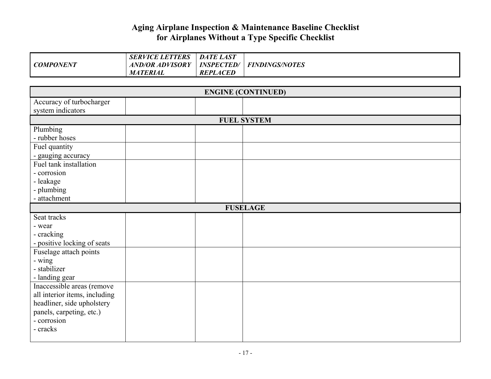| <b>COMPONENT</b> | <b>SERVICE LETTERS</b><br><b>AND/OR ADVISORY</b><br><i><b>MATERIAL</b></i> | . LAST<br><b>DATE</b><br><b>INSPECTED/</b><br><b>REPLACED</b> | <b>FINDINGS/NOTES</b> |
|------------------|----------------------------------------------------------------------------|---------------------------------------------------------------|-----------------------|
|                  |                                                                            |                                                               |                       |

| <b>ENGINE (CONTINUED)</b>                             |  |  |                    |  |
|-------------------------------------------------------|--|--|--------------------|--|
| Accuracy of turbocharger                              |  |  |                    |  |
| system indicators                                     |  |  |                    |  |
|                                                       |  |  | <b>FUEL SYSTEM</b> |  |
| Plumbing                                              |  |  |                    |  |
| - rubber hoses                                        |  |  |                    |  |
| Fuel quantity                                         |  |  |                    |  |
| - gauging accuracy                                    |  |  |                    |  |
| Fuel tank installation                                |  |  |                    |  |
| - corrosion                                           |  |  |                    |  |
| - leakage                                             |  |  |                    |  |
| - plumbing                                            |  |  |                    |  |
| - attachment                                          |  |  |                    |  |
|                                                       |  |  | <b>FUSELAGE</b>    |  |
| Seat tracks                                           |  |  |                    |  |
| - wear                                                |  |  |                    |  |
| - cracking                                            |  |  |                    |  |
| - positive locking of seats<br>Fuselage attach points |  |  |                    |  |
| - wing                                                |  |  |                    |  |
| - stabilizer                                          |  |  |                    |  |
| - landing gear                                        |  |  |                    |  |
| Inaccessible areas (remove                            |  |  |                    |  |
| all interior items, including                         |  |  |                    |  |
| headliner, side upholstery                            |  |  |                    |  |
| panels, carpeting, etc.)                              |  |  |                    |  |
| - corrosion                                           |  |  |                    |  |
| - cracks                                              |  |  |                    |  |
|                                                       |  |  |                    |  |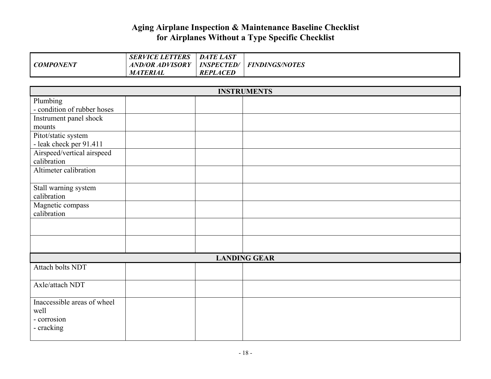|                  | <b>SERVICE LETTERS</b> | <b>DATE LAST</b>  |                       |
|------------------|------------------------|-------------------|-----------------------|
| <b>COMPONENT</b> | <b>AND/OR ADVISORY</b> | <b>INSPECTED/</b> | <b>FINDINGS/NOTES</b> |
|                  | <i><b>MATERIAL</b></i> | <b>REPLACED</b>   |                       |

| <b>INSTRUMENTS</b>                        |  |                     |  |
|-------------------------------------------|--|---------------------|--|
| Plumbing                                  |  |                     |  |
| - condition of rubber hoses               |  |                     |  |
| Instrument panel shock                    |  |                     |  |
| mounts                                    |  |                     |  |
| Pitot/static system                       |  |                     |  |
| - leak check per 91.411                   |  |                     |  |
| Airspeed/vertical airspeed<br>calibration |  |                     |  |
| Altimeter calibration                     |  |                     |  |
|                                           |  |                     |  |
| Stall warning system                      |  |                     |  |
| calibration                               |  |                     |  |
| Magnetic compass                          |  |                     |  |
| calibration                               |  |                     |  |
|                                           |  |                     |  |
|                                           |  |                     |  |
|                                           |  |                     |  |
|                                           |  | <b>LANDING GEAR</b> |  |
| Attach bolts NDT                          |  |                     |  |
| Axle/attach NDT                           |  |                     |  |
| Inaccessible areas of wheel               |  |                     |  |
| well                                      |  |                     |  |
| - corrosion                               |  |                     |  |
| - cracking                                |  |                     |  |
|                                           |  |                     |  |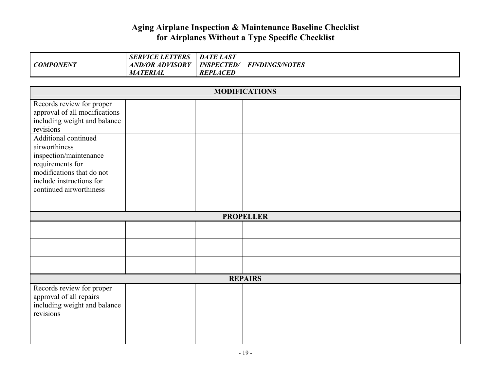| <b>COMPONENT</b>                                                                                                                                                                                                                                                                          | <b>SERVICE LETTERS</b><br><b>AND/OR ADVISORY</b> | DATE LAST<br><b>INSPECTED/</b> | <b>FINDINGS/NOTES</b> |
|-------------------------------------------------------------------------------------------------------------------------------------------------------------------------------------------------------------------------------------------------------------------------------------------|--------------------------------------------------|--------------------------------|-----------------------|
|                                                                                                                                                                                                                                                                                           | <b>MATERIAL</b>                                  | <b>REPLACED</b>                |                       |
|                                                                                                                                                                                                                                                                                           |                                                  |                                | <b>MODIFICATIONS</b>  |
| Records review for proper<br>approval of all modifications<br>including weight and balance<br>revisions<br><b>Additional continued</b><br>airworthiness<br>inspection/maintenance<br>requirements for<br>modifications that do not<br>include instructions for<br>continued airworthiness |                                                  |                                |                       |
|                                                                                                                                                                                                                                                                                           |                                                  |                                |                       |
|                                                                                                                                                                                                                                                                                           |                                                  |                                | <b>PROPELLER</b>      |
|                                                                                                                                                                                                                                                                                           |                                                  |                                |                       |
|                                                                                                                                                                                                                                                                                           |                                                  |                                |                       |
|                                                                                                                                                                                                                                                                                           |                                                  |                                |                       |
|                                                                                                                                                                                                                                                                                           |                                                  |                                | <b>REPAIRS</b>        |
| Records review for proper<br>approval of all repairs<br>including weight and balance<br>revisions                                                                                                                                                                                         |                                                  |                                |                       |
|                                                                                                                                                                                                                                                                                           |                                                  |                                |                       |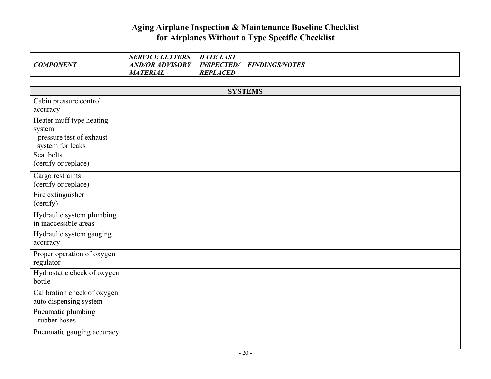|                  | <b>SERVICE LETTERS</b> | <b>DATE LAST</b>  |                       |
|------------------|------------------------|-------------------|-----------------------|
| <b>COMPONENT</b> | <b>AND/OR ADVISORY</b> | <b>INSPECTED/</b> | <b>FINDINGS/NOTES</b> |
|                  | <i><b>MATERIAL</b></i> | <b>REPLACED</b>   |                       |

| <b>SYSTEMS</b>                                                                                     |  |  |  |  |  |
|----------------------------------------------------------------------------------------------------|--|--|--|--|--|
| Cabin pressure control<br>accuracy                                                                 |  |  |  |  |  |
| Heater muff type heating<br>system<br>- pressure test of exhaust<br>system for leaks<br>Seat belts |  |  |  |  |  |
| (certify or replace)<br>Cargo restraints<br>(certify or replace)                                   |  |  |  |  |  |
| Fire extinguisher<br>(certify)                                                                     |  |  |  |  |  |
| Hydraulic system plumbing<br>in inaccessible areas                                                 |  |  |  |  |  |
| Hydraulic system gauging<br>accuracy                                                               |  |  |  |  |  |
| Proper operation of oxygen<br>regulator                                                            |  |  |  |  |  |
| Hydrostatic check of oxygen<br>bottle                                                              |  |  |  |  |  |
| Calibration check of oxygen<br>auto dispensing system                                              |  |  |  |  |  |
| Pneumatic plumbing<br>- rubber hoses                                                               |  |  |  |  |  |
| Pneumatic gauging accuracy                                                                         |  |  |  |  |  |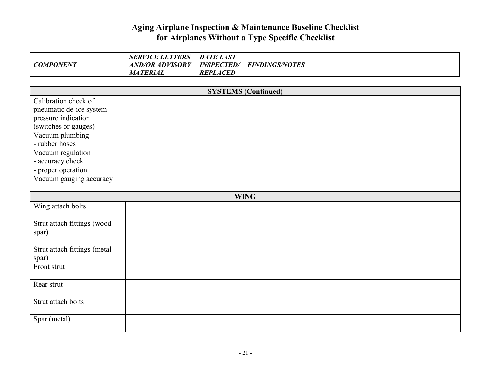┱

Г

|                              | <b>SERVICE LETTERS</b>                    | DATE LAST                            |                       |  |  |
|------------------------------|-------------------------------------------|--------------------------------------|-----------------------|--|--|
| <b>COMPONENT</b>             | <b>AND/OR ADVISORY</b><br><b>MATERIAL</b> | <b>INSPECTED/</b><br><b>REPLACED</b> | <b>FINDINGS/NOTES</b> |  |  |
|                              |                                           |                                      |                       |  |  |
| <b>SYSTEMS</b> (Continued)   |                                           |                                      |                       |  |  |
| Calibration check of         |                                           |                                      |                       |  |  |
| pneumatic de-ice system      |                                           |                                      |                       |  |  |
| pressure indication          |                                           |                                      |                       |  |  |
| (switches or gauges)         |                                           |                                      |                       |  |  |
| Vacuum plumbing              |                                           |                                      |                       |  |  |
| - rubber hoses               |                                           |                                      |                       |  |  |
| Vacuum regulation            |                                           |                                      |                       |  |  |
| - accuracy check             |                                           |                                      |                       |  |  |
| - proper operation           |                                           |                                      |                       |  |  |
| Vacuum gauging accuracy      |                                           |                                      |                       |  |  |
|                              |                                           |                                      |                       |  |  |
|                              |                                           |                                      | <b>WING</b>           |  |  |
| Wing attach bolts            |                                           |                                      |                       |  |  |
| Strut attach fittings (wood  |                                           |                                      |                       |  |  |
| spar)                        |                                           |                                      |                       |  |  |
|                              |                                           |                                      |                       |  |  |
| Strut attach fittings (metal |                                           |                                      |                       |  |  |
| spar)                        |                                           |                                      |                       |  |  |
| Front strut                  |                                           |                                      |                       |  |  |
| Rear strut                   |                                           |                                      |                       |  |  |
|                              |                                           |                                      |                       |  |  |
| Strut attach bolts           |                                           |                                      |                       |  |  |
| Spar (metal)                 |                                           |                                      |                       |  |  |
|                              |                                           |                                      |                       |  |  |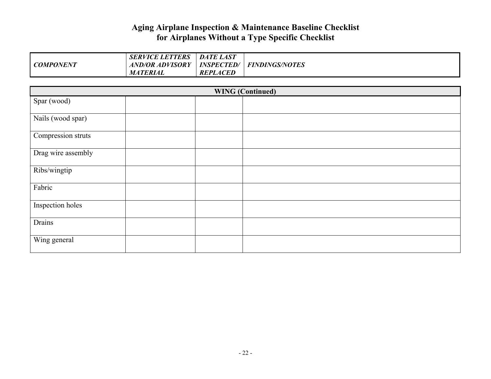| <b>COMPONENT</b> | <b>SERVICE LETTERS</b><br><b>AND/OR ADVISORY</b><br><b>MATERIAL</b> | <b>LAST</b><br><b>DATE</b><br><b>INSPECTED/</b><br>REPLACED | <b>FINDINGS/NOTES</b> |
|------------------|---------------------------------------------------------------------|-------------------------------------------------------------|-----------------------|
|                  |                                                                     |                                                             |                       |

| <b>WING</b> (Continued) |  |  |  |  |  |
|-------------------------|--|--|--|--|--|
| Spar (wood)             |  |  |  |  |  |
| Nails (wood spar)       |  |  |  |  |  |
| Compression struts      |  |  |  |  |  |
| Drag wire assembly      |  |  |  |  |  |
| Ribs/wingtip            |  |  |  |  |  |
| Fabric                  |  |  |  |  |  |
| Inspection holes        |  |  |  |  |  |
| <b>Drains</b>           |  |  |  |  |  |
| Wing general            |  |  |  |  |  |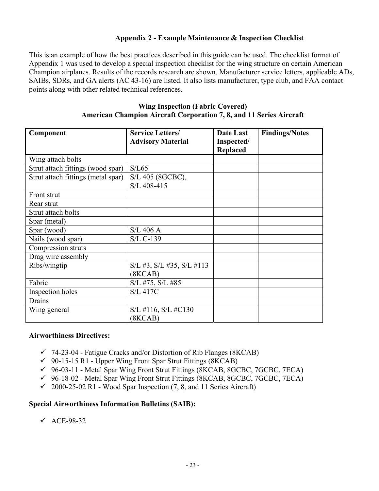### **Appendix 2 - Example Maintenance & Inspection Checklist**

This is an example of how the best practices described in this guide can be used. The checklist format of Appendix 1 was used to develop a special inspection checklist for the wing structure on certain American Champion airplanes. Results of the records research are shown. Manufacturer service letters, applicable ADs, SAIBs, SDRs, and GA alerts (AC 43-16) are listed. It also lists manufacturer, type club, and FAA contact points along with other related technical references.

| <b>Wing Inspection (Fabric Covered)</b>                                    |  |  |  |  |  |
|----------------------------------------------------------------------------|--|--|--|--|--|
| <b>American Champion Aircraft Corporation 7, 8, and 11 Series Aircraft</b> |  |  |  |  |  |

| Component                          | <b>Service Letters/</b>                    | <b>Date Last</b>              | <b>Findings/Notes</b> |
|------------------------------------|--------------------------------------------|-------------------------------|-----------------------|
|                                    | <b>Advisory Material</b>                   | Inspected/<br><b>Replaced</b> |                       |
| Wing attach bolts                  |                                            |                               |                       |
| Strut attach fittings (wood spar)  | S/L65                                      |                               |                       |
| Strut attach fittings (metal spar) | S/L 405 (8GCBC),<br>S/L 408-415            |                               |                       |
| Front strut                        |                                            |                               |                       |
| Rear strut                         |                                            |                               |                       |
| Strut attach bolts                 |                                            |                               |                       |
| Spar (metal)                       |                                            |                               |                       |
| Spar (wood)                        | S/L 406 A                                  |                               |                       |
| Nails (wood spar)                  | S/L C-139                                  |                               |                       |
| Compression struts                 |                                            |                               |                       |
| Drag wire assembly                 |                                            |                               |                       |
| Ribs/wingtip                       | $S/L$ #3, $S/L$ #35, $S/L$ #113<br>(8KCAB) |                               |                       |
| Fabric                             | S/L #75, S/L #85                           |                               |                       |
| Inspection holes                   | <b>S/L 417C</b>                            |                               |                       |
| Drains                             |                                            |                               |                       |
| Wing general                       | $S/L$ #116, $S/L$ #C130<br>(8KCAB)         |                               |                       |

#### **Airworthiness Directives:**

- $\checkmark$  74-23-04 Fatigue Cracks and/or Distortion of Rib Flanges (8KCAB)
- $\checkmark$  90-15-15 R1 Upper Wing Front Spar Strut Fittings (8KCAB)
- $\checkmark$  96-03-11 Metal Spar Wing Front Strut Fittings (8KCAB, 8GCBC, 7GCBC, 7ECA)
- $\checkmark$  96-18-02 Metal Spar Wing Front Strut Fittings (8KCAB, 8GCBC, 7GCBC, 7ECA)
- $\checkmark$  2000-25-02 R1 Wood Spar Inspection (7, 8, and 11 Series Aircraft)

#### **Special Airworthiness Information Bulletins (SAIB):**

 $\checkmark$  ACE-98-32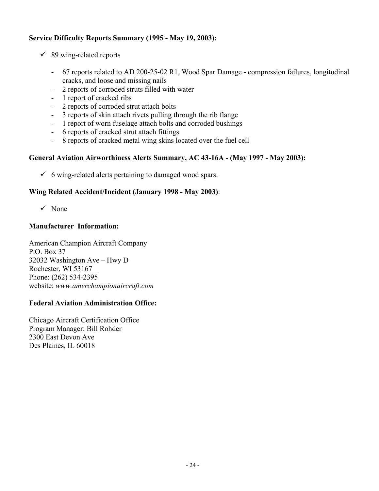### **Service Difficulty Reports Summary (1995 - May 19, 2003):**

- $\checkmark$  89 wing-related reports
	- 67 reports related to AD 200-25-02 R1, Wood Spar Damage compression failures, longitudinal cracks, and loose and missing nails
	- 2 reports of corroded struts filled with water
	- 1 report of cracked ribs
	- 2 reports of corroded strut attach bolts
	- 3 reports of skin attach rivets pulling through the rib flange
	- 1 report of worn fuselage attach bolts and corroded bushings
	- 6 reports of cracked strut attach fittings
	- 8 reports of cracked metal wing skins located over the fuel cell

#### **General Aviation Airworthiness Alerts Summary, AC 43-16A - (May 1997 - May 2003):**

 $\checkmark$  6 wing-related alerts pertaining to damaged wood spars.

### **Wing Related Accident/Incident (January 1998 - May 2003)**:

 $\checkmark$  None

### **Manufacturer Information:**

American Champion Aircraft Company P.O. Box 37 32032 Washington Ave – Hwy D Rochester, WI 53167 Phone: (262) 534-2395 website: *www.amerchampionaircraft.com* 

### **Federal Aviation Administration Office:**

Chicago Aircraft Certification Office Program Manager: Bill Rohder 2300 East Devon Ave Des Plaines, IL 60018